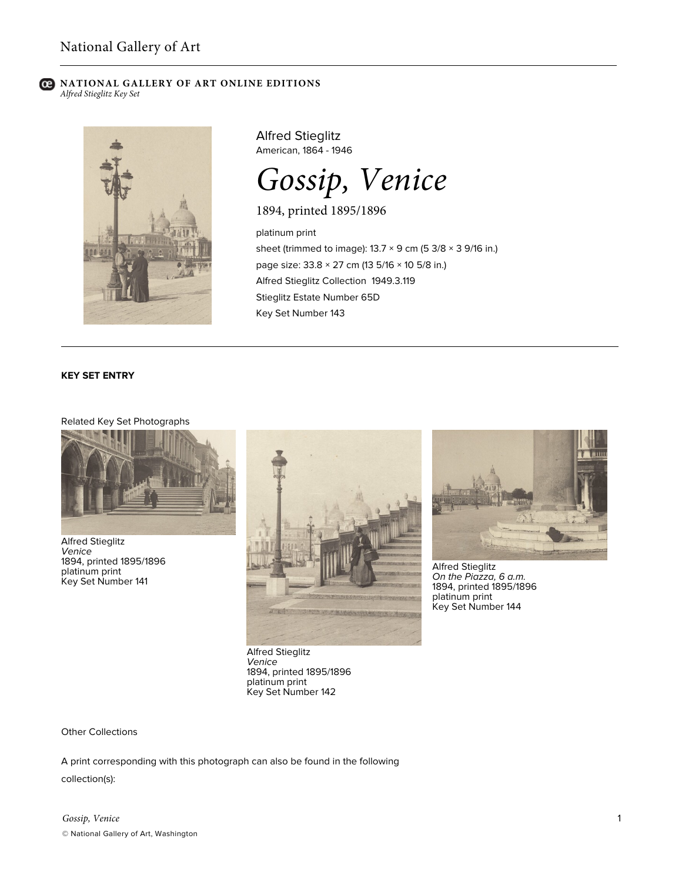### **C** NATIONAL GALLERY OF ART ONLINE EDITIONS *Alfred Stieglitz Key Set*



Alfred Stieglitz American, 1864 - 1946

*Gossip, Venice*

1894, printed 1895/1896

platinum print sheet (trimmed to image):  $13.7 \times 9$  cm (5 3/8  $\times$  3 9/16 in.) page size: 33.8 × 27 cm (13 5/16 × 10 5/8 in.) Alfred Stieglitz Collection 1949.3.119 Stieglitz Estate Number 65D Key Set Number 143

### **KEY SET ENTRY**

# Related Key Set Photographs



Alfred Stieglitz *Venice* 1894, printed 1895/1896 platinum print Key Set Number 141



Alfred Stieglitz *Venice* 1894, printed 1895/1896 platinum print Key Set Number 142



Alfred Stieglitz *On the Piazza, 6 a.m.* 1894, printed 1895/1896 platinum print Key Set Number 144

Other Collections

A print corresponding with this photograph can also be found in the following

collection(s):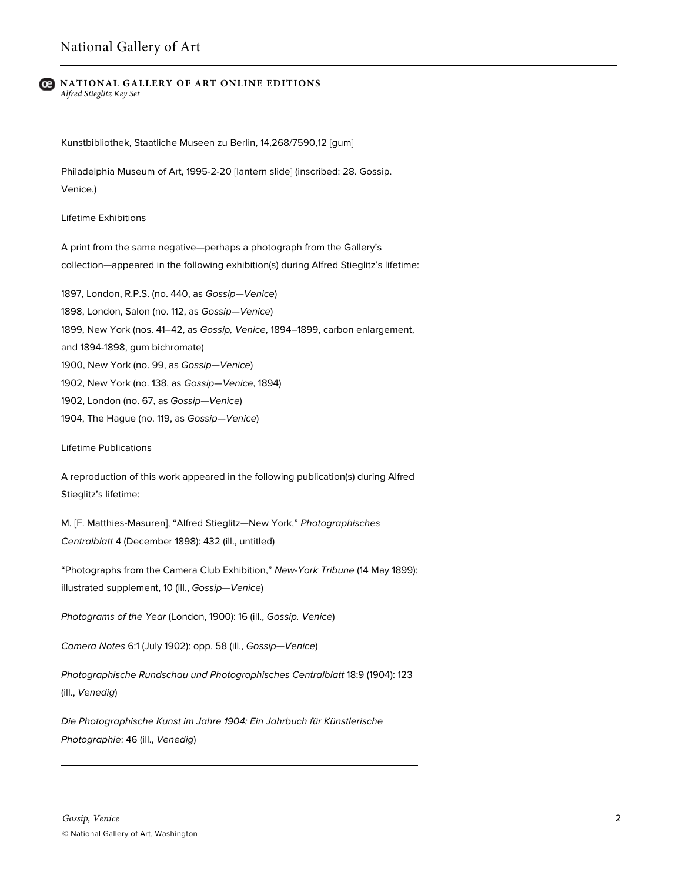#### **NATIONAL GALLERY OF ART ONLINE EDITIONS** *Alfred Stieglitz Key Set*

Kunstbibliothek, Staatliche Museen zu Berlin, 14,268/7590,12 [gum]

Philadelphia Museum of Art, 1995-2-20 [lantern slide] (inscribed: 28. Gossip. Venice.)

Lifetime Exhibitions

A print from the same negative—perhaps a photograph from the Gallery's collection—appeared in the following exhibition(s) during Alfred Stieglitz's lifetime:

1897, London, R.P.S. (no. 440, as *Gossip—Venice*) 1898, London, Salon (no. 112, as *Gossip—Venice*) 1899, New York (nos. 41–42, as *Gossip, Venice*, 1894–1899, carbon enlargement, and 1894-1898, gum bichromate) 1900, New York (no. 99, as *Gossip—Venice*) 1902, New York (no. 138, as *Gossip—Venice*, 1894) 1902, London (no. 67, as *Gossip—Venice*) 1904, The Hague (no. 119, as *Gossip—Venice*)

Lifetime Publications

A reproduction of this work appeared in the following publication(s) during Alfred Stieglitz's lifetime:

M. [F. Matthies-Masuren], "Alfred Stieglitz—New York," *Photographisches Centralblatt* 4 (December 1898): 432 (ill., untitled)

"Photographs from the Camera Club Exhibition," *New-York Tribune* (14 May 1899): illustrated supplement, 10 (ill., *Gossip—Venice*)

*Photograms of the Year* (London, 1900): 16 (ill., *Gossip. Venice*)

*Camera Notes* 6:1 (July 1902): opp. 58 (ill., *Gossip—Venice*)

*Photographische Rundschau und Photographisches Centralblatt* 18:9 (1904): 123 (ill., *Venedig*)

*Die Photographische Kunst im Jahre 1904: Ein Jahrbuch für Künstlerische Photographie*: 46 (ill., *Venedig*)